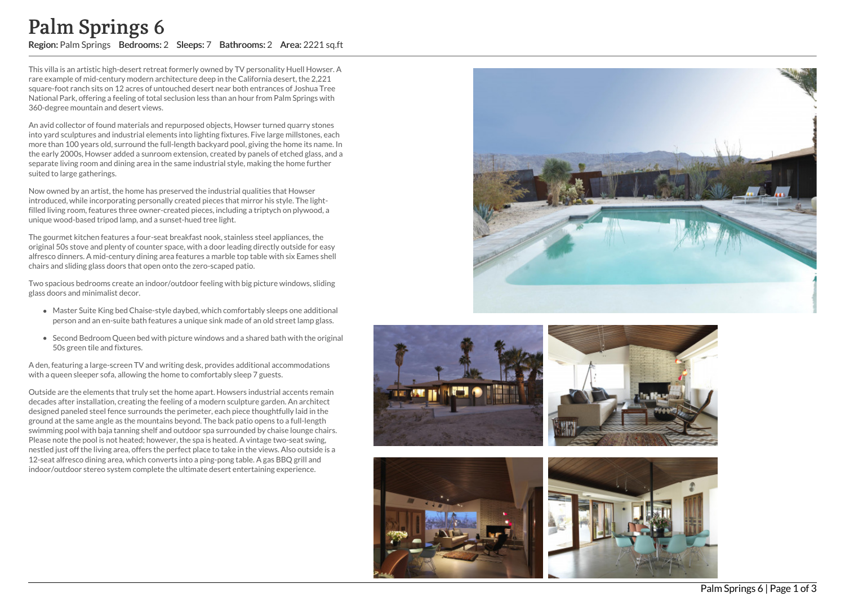This villa is an artistic high-desert retreat formerly owned by TV personality Huell Howser. A rare example of mid-century modern architecture deep in the California desert, the 2,221 square-foot ranch sits on 12 acres of untouched desert near both entrances of Joshua Tree National Park, offering a feeling of total seclusion less than an hour from Palm Springs with 360-degree mountain and desert views.

An avid collector of found materials and repurposed objects, Howser turned quarry stones into yard sculptures and industrial elements into lighting fixtures. Five large millstones, eac h more than 100 years old, surround the full-length backyard pool, giving the home its name. In the early 2000s, Howser added a sunroom extension, created by panels of etched glass, and a separate living room and dining area in the same industrial style, making the home further suited to large gatherings.

Now owned by an artist, the home has preserved the industrial qualities that Howser introduced, while incorporating personally created pieces that mirror his style. The lig h t filled living room, features three owner-created pieces, including a triptych on plywood, a unique wood-based tripod lamp, and a sunset-hued tree light.

The gourmet kitchen features a four-seat breakfast nook, stainless steel appliances, the original 50s stove and plenty of counter space, with a door leading directly outside for easy alfresco dinners. A mid-century dining area features a marble top table with six Eames shell chairs and sliding glass doors that open onto the zero-scaped patio.

Two spacious bedrooms create an indoor/outdoor feeling with big picture windows, sliding glass doors and minimalist decor.

- Master Suite King bedChaise-style daybed, which comfortably sleeps one additional person and an en-suite bath features a unique sink made of an old street lamp glass.
- Second Bedroom Queen bed with picture windows and a shared bath with the origin al 50s green tile and fixtures.

A den, featuring a large-screen TV and writing desk, provides additional accommodations with a queen sleeper sofa, allowing the home to comfortably sleep 7 guests.

Outside are the elements that truly set the home apart. Howsers industrial accents remain decades after installation, creating the feeling of a modern sculpture garden. An architect designed paneled steel fence surrounds the perimeter, each piece thoughtfully laid in the ground at the same angle as the mountains beyond. The back patio opens to a full-length swimming pool with baja tanning shelf and outdoor spa surrounded by chaise lounge chairs. Please note the pool is not heated; however, the spa is heated. A vintage two-seat swing, nestled just off the living area, offers the perfect place to take in the views. Also outside is a 12-seat alfresco dining area, which converts into a ping-pong table. A gas BBQ grill and **Palm Springs 6 Region: Palm Springs 6 Redictions:** 2 Sleeps: 7 Bathrooms: 2 Area: 2221 sq.ft<br>This villa is an artistic high-desert retreat formerly owned by TV personality Huell Howser. A<br>rate complete of medication moder







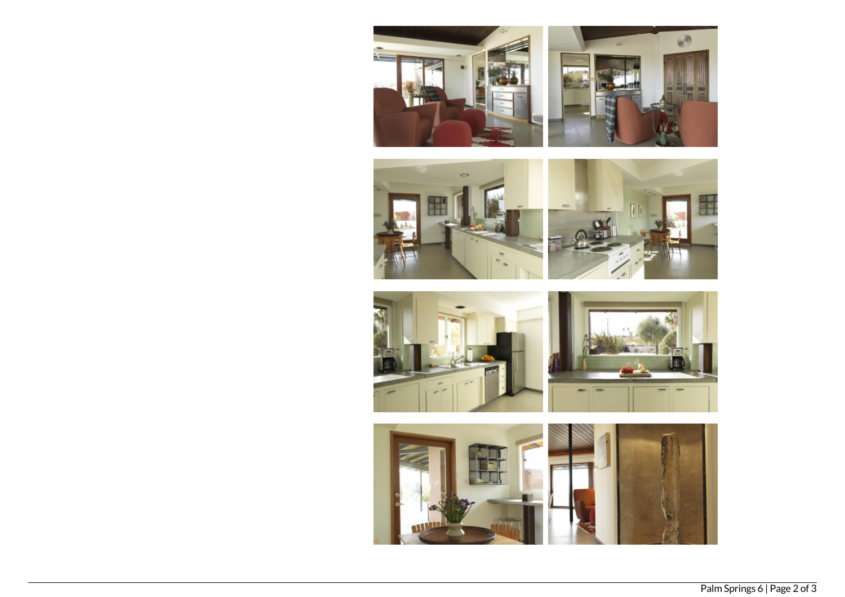